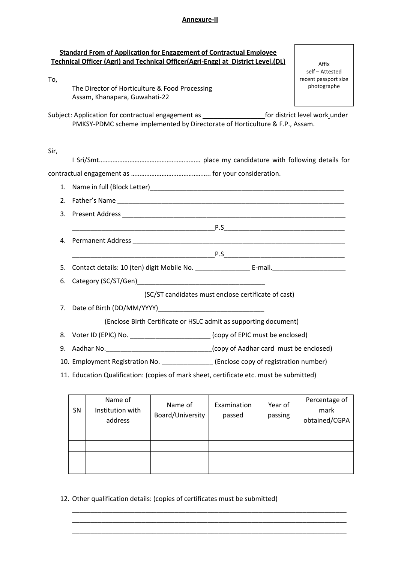## **Annexure-II**

| To,  | <b>Standard From of Application for Engagement of Contractual Employee</b><br>Technical Officer (Agri) and Technical Officer(Agri-Engg) at District Level.(DL)                                 | Affix<br>self - Attested<br>recent passport size |  |  |
|------|------------------------------------------------------------------------------------------------------------------------------------------------------------------------------------------------|--------------------------------------------------|--|--|
|      | The Director of Horticulture & Food Processing<br>Assam, Khanapara, Guwahati-22                                                                                                                | photographe                                      |  |  |
|      | Subject: Application for contractual engagement as ______________________________ for district level work under<br>PMKSY-PDMC scheme implemented by Directorate of Horticulture & F.P., Assam. |                                                  |  |  |
| Sir, |                                                                                                                                                                                                |                                                  |  |  |
|      |                                                                                                                                                                                                |                                                  |  |  |
| 1.   |                                                                                                                                                                                                |                                                  |  |  |
| 2.   |                                                                                                                                                                                                |                                                  |  |  |
| 3.   |                                                                                                                                                                                                |                                                  |  |  |
|      |                                                                                                                                                                                                |                                                  |  |  |
| 4.   |                                                                                                                                                                                                |                                                  |  |  |
|      |                                                                                                                                                                                                |                                                  |  |  |
| 5.   |                                                                                                                                                                                                |                                                  |  |  |
| 6.   | Category (SC/ST/Gen) <b>Category</b> (SC/ST/Gen)                                                                                                                                               |                                                  |  |  |
|      | (SC/ST candidates must enclose certificate of cast)                                                                                                                                            |                                                  |  |  |
| 7.   |                                                                                                                                                                                                |                                                  |  |  |
|      | (Enclose Birth Certificate or HSLC admit as supporting document)                                                                                                                               |                                                  |  |  |
|      | 8. Voter ID (EPIC) No. _________________________(copy of EPIC must be enclosed)                                                                                                                |                                                  |  |  |
| 9.   |                                                                                                                                                                                                |                                                  |  |  |
|      | 10. Employment Registration No. ________________(Enclose copy of registration number)                                                                                                          |                                                  |  |  |
|      | 11. Education Qualification: (copies of mark sheet, certificate etc. must be submitted)                                                                                                        |                                                  |  |  |

| <b>SN</b> | Name of<br>Institution with<br>address | Name of<br>Board/University | Examination<br>passed | Year of<br>passing | Percentage of<br>mark<br>obtained/CGPA |
|-----------|----------------------------------------|-----------------------------|-----------------------|--------------------|----------------------------------------|
|           |                                        |                             |                       |                    |                                        |
|           |                                        |                             |                       |                    |                                        |
|           |                                        |                             |                       |                    |                                        |
|           |                                        |                             |                       |                    |                                        |

\_\_\_\_\_\_\_\_\_\_\_\_\_\_\_\_\_\_\_\_\_\_\_\_\_\_\_\_\_\_\_\_\_\_\_\_\_\_\_\_\_\_\_\_\_\_\_\_\_\_\_\_\_\_\_\_\_\_\_\_\_\_\_\_\_\_\_\_\_\_\_\_\_\_\_ \_\_\_\_\_\_\_\_\_\_\_\_\_\_\_\_\_\_\_\_\_\_\_\_\_\_\_\_\_\_\_\_\_\_\_\_\_\_\_\_\_\_\_\_\_\_\_\_\_\_\_\_\_\_\_\_\_\_\_\_\_\_\_\_\_\_\_\_\_\_\_\_\_\_\_ \_\_\_\_\_\_\_\_\_\_\_\_\_\_\_\_\_\_\_\_\_\_\_\_\_\_\_\_\_\_\_\_\_\_\_\_\_\_\_\_\_\_\_\_\_\_\_\_\_\_\_\_\_\_\_\_\_\_\_\_\_\_\_\_\_\_\_\_\_\_\_\_\_\_\_

12. Other qualification details: (copies of certificates must be submitted)